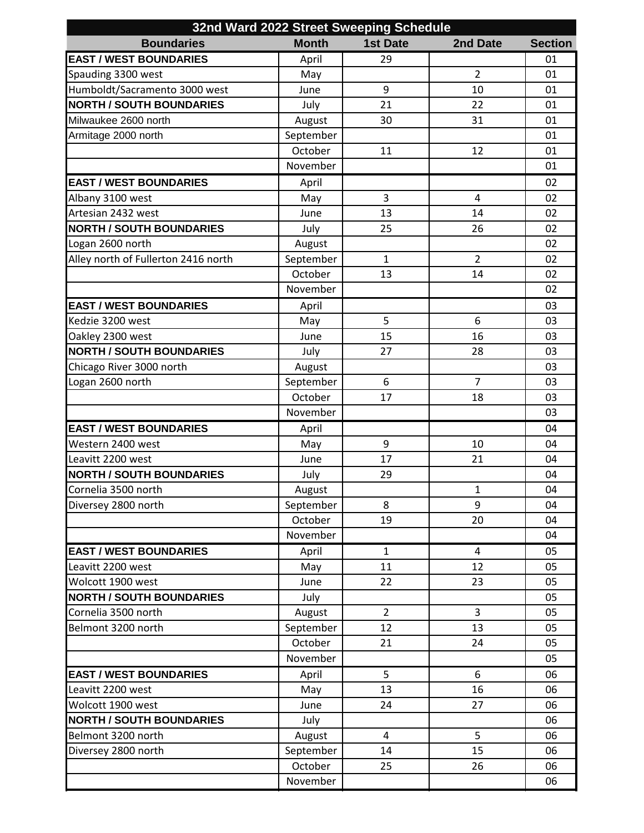| 32nd Ward 2022 Street Sweeping Schedule |              |                 |                |                |  |  |  |
|-----------------------------------------|--------------|-----------------|----------------|----------------|--|--|--|
| <b>Boundaries</b>                       | <b>Month</b> | <b>1st Date</b> | 2nd Date       | <b>Section</b> |  |  |  |
| <b>EAST / WEST BOUNDARIES</b>           | April        | 29              |                | 01             |  |  |  |
| Spauding 3300 west                      | May          |                 | $\overline{2}$ | 01             |  |  |  |
| Humboldt/Sacramento 3000 west           | June         | 9               | 10             | 01             |  |  |  |
| <b>NORTH / SOUTH BOUNDARIES</b>         | July         | 21              | 22             | 01             |  |  |  |
| Milwaukee 2600 north                    | August       | 30              | 31             | 01             |  |  |  |
| Armitage 2000 north                     | September    |                 |                | 01             |  |  |  |
|                                         | October      | 11              | 12             | 01             |  |  |  |
|                                         | November     |                 |                | 01             |  |  |  |
| <b>EAST / WEST BOUNDARIES</b>           | April        |                 |                | 02             |  |  |  |
| Albany 3100 west                        | May          | 3               | 4              | 02             |  |  |  |
| Artesian 2432 west                      | June         | 13              | 14             | 02             |  |  |  |
| <b>NORTH / SOUTH BOUNDARIES</b>         | July         | 25              | 26             | 02             |  |  |  |
| Logan 2600 north                        | August       |                 |                | 02             |  |  |  |
| Alley north of Fullerton 2416 north     | September    | $\mathbf{1}$    | $\overline{2}$ | 02             |  |  |  |
|                                         | October      | 13              | 14             | 02             |  |  |  |
|                                         | November     |                 |                | 02             |  |  |  |
| <b>EAST / WEST BOUNDARIES</b>           | April        |                 |                | 03             |  |  |  |
| Kedzie 3200 west                        | May          | 5               | 6              | 03             |  |  |  |
| Oakley 2300 west                        | June         | 15              | 16             | 03             |  |  |  |
| <b>NORTH / SOUTH BOUNDARIES</b>         | July         | 27              | 28             | 03             |  |  |  |
| Chicago River 3000 north                | August       |                 |                | 03             |  |  |  |
| Logan 2600 north                        | September    | 6               | $\overline{7}$ | 03             |  |  |  |
|                                         | October      | 17              | 18             | 03             |  |  |  |
|                                         | November     |                 |                | 03             |  |  |  |
| <b>EAST / WEST BOUNDARIES</b>           | April        |                 |                | 04             |  |  |  |
| Western 2400 west                       | May          | 9               | 10             | 04             |  |  |  |
| Leavitt 2200 west                       | June         | 17              | 21             | 04             |  |  |  |
| <b>NORTH / SOUTH BOUNDARIES</b>         | July         | 29              |                | 04             |  |  |  |
| Cornelia 3500 north                     | August       |                 | $\mathbf{1}$   | 04             |  |  |  |
| Diversey 2800 north                     | September    | 8               | 9              | 04             |  |  |  |
|                                         | October      | 19              | 20             | 04             |  |  |  |
|                                         | November     |                 |                | 04             |  |  |  |
| <b>EAST / WEST BOUNDARIES</b>           | April        | $\mathbf{1}$    | 4              | 05             |  |  |  |
| Leavitt 2200 west                       | May          | 11              | 12             | 05             |  |  |  |
| Wolcott 1900 west                       | June         | 22              | 23             | 05             |  |  |  |
| <b>NORTH / SOUTH BOUNDARIES</b>         | July         |                 |                | 05             |  |  |  |
| Cornelia 3500 north                     | August       | $\overline{2}$  | 3              | 05             |  |  |  |
| Belmont 3200 north                      | September    | 12              | 13             | 05             |  |  |  |
|                                         | October      | 21              | 24             | 05             |  |  |  |
|                                         | November     |                 |                | 05             |  |  |  |
| <b>EAST / WEST BOUNDARIES</b>           | April        | 5               | 6              | 06             |  |  |  |
| Leavitt 2200 west                       | May          | 13              | 16             | 06             |  |  |  |
| Wolcott 1900 west                       | June         | 24              | 27             | 06             |  |  |  |
| <b>NORTH / SOUTH BOUNDARIES</b>         | July         |                 |                | 06             |  |  |  |
| Belmont 3200 north                      | August       | $\overline{4}$  | 5              | 06             |  |  |  |
| Diversey 2800 north                     | September    | 14              | 15             | 06             |  |  |  |
|                                         | October      | 25              | 26             | 06             |  |  |  |
|                                         | November     |                 |                | 06             |  |  |  |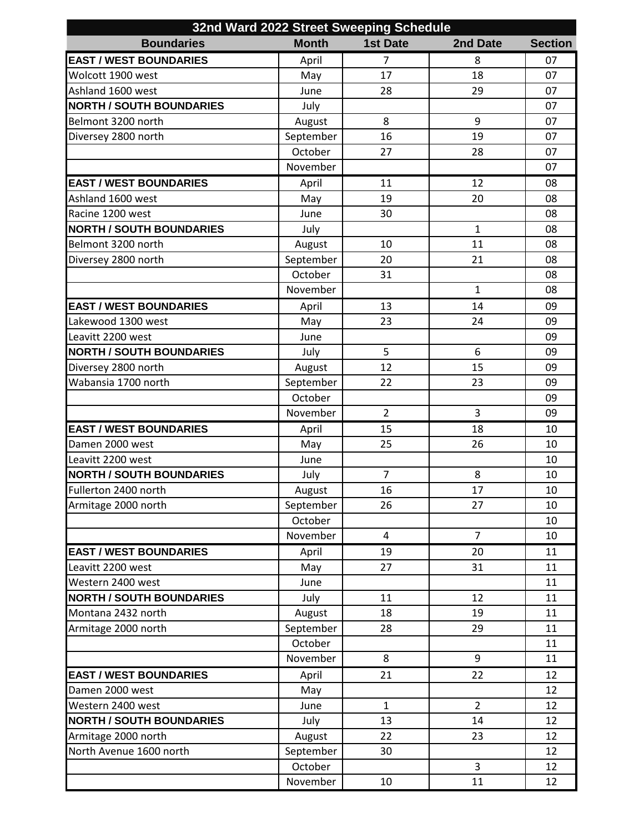| 32nd Ward 2022 Street Sweeping Schedule |              |                 |                |                |  |  |
|-----------------------------------------|--------------|-----------------|----------------|----------------|--|--|
| <b>Boundaries</b>                       | <b>Month</b> | <b>1st Date</b> | 2nd Date       | <b>Section</b> |  |  |
| <b>EAST / WEST BOUNDARIES</b>           | April        | $\overline{7}$  | 8              | 07             |  |  |
| Wolcott 1900 west                       | May          | 17              | 18             | 07             |  |  |
| Ashland 1600 west                       | June         | 28              | 29             | 07             |  |  |
| <b>NORTH / SOUTH BOUNDARIES</b>         | July         |                 |                | 07             |  |  |
| Belmont 3200 north                      | August       | 8               | 9              | 07             |  |  |
| Diversey 2800 north                     | September    | 16              | 19             | 07             |  |  |
|                                         | October      | 27              | 28             | 07             |  |  |
|                                         | November     |                 |                | 07             |  |  |
| <b>EAST / WEST BOUNDARIES</b>           | April        | 11              | 12             | 08             |  |  |
| Ashland 1600 west                       | May          | 19              | 20             | 08             |  |  |
| Racine 1200 west                        | June         | 30              |                | 08             |  |  |
| <b>NORTH / SOUTH BOUNDARIES</b>         | July         |                 | $\mathbf{1}$   | 08             |  |  |
| Belmont 3200 north                      | August       | 10              | 11             | 08             |  |  |
| Diversey 2800 north                     | September    | 20              | 21             | 08             |  |  |
|                                         | October      | 31              |                | 08             |  |  |
|                                         | November     |                 | $\mathbf{1}$   | 08             |  |  |
| <b>EAST / WEST BOUNDARIES</b>           | April        | 13              | 14             | 09             |  |  |
| Lakewood 1300 west                      | May          | 23              | 24             | 09             |  |  |
| Leavitt 2200 west                       | June         |                 |                | 09             |  |  |
| <b>NORTH / SOUTH BOUNDARIES</b>         | July         | 5               | 6              | 09             |  |  |
| Diversey 2800 north                     | August       | 12              | 15             | 09             |  |  |
| Wabansia 1700 north                     | September    | 22              | 23             | 09             |  |  |
|                                         | October      |                 |                | 09             |  |  |
|                                         | November     | $\overline{2}$  | 3              | 09             |  |  |
| <b>EAST / WEST BOUNDARIES</b>           |              | 15              | 18             | 10             |  |  |
| Damen 2000 west                         | April        |                 |                |                |  |  |
|                                         | May          | 25              | 26             | 10             |  |  |
| Leavitt 2200 west                       | June         |                 |                | 10             |  |  |
| <b>NORTH / SOUTH BOUNDARIES</b>         | July         | $\overline{7}$  | 8              | 10             |  |  |
| Fullerton 2400 north                    | August       | 16              | 17             | 10             |  |  |
| Armitage 2000 north                     | September    | 26              | 27             | 10             |  |  |
|                                         | October      |                 |                | 10             |  |  |
|                                         | November     | 4               | $\overline{7}$ | 10             |  |  |
| <b>EAST / WEST BOUNDARIES</b>           | April        | 19              | 20             | 11             |  |  |
| Leavitt 2200 west                       | May          | 27              | 31             | 11             |  |  |
| Western 2400 west                       | June         |                 |                | 11             |  |  |
| <b>NORTH / SOUTH BOUNDARIES</b>         | July         | 11              | 12             | 11             |  |  |
| Montana 2432 north                      | August       | 18              | 19             | 11             |  |  |
| Armitage 2000 north                     | September    | 28              | 29             | 11             |  |  |
|                                         | October      |                 |                | 11             |  |  |
|                                         | November     | 8               | 9              | 11             |  |  |
| <b>EAST / WEST BOUNDARIES</b>           | April        | 21              | 22             | 12             |  |  |
| Damen 2000 west                         | May          |                 |                | 12             |  |  |
| Western 2400 west                       | June         | $\mathbf{1}$    | $\overline{2}$ | 12             |  |  |
| <b>NORTH / SOUTH BOUNDARIES</b>         | July         | 13              | 14             | 12             |  |  |
| Armitage 2000 north                     | August       | 22              | 23             | 12             |  |  |
| North Avenue 1600 north                 | September    | 30              |                | 12             |  |  |
|                                         | October      |                 | 3              | 12             |  |  |
|                                         | November     | 10              | 11             | 12             |  |  |